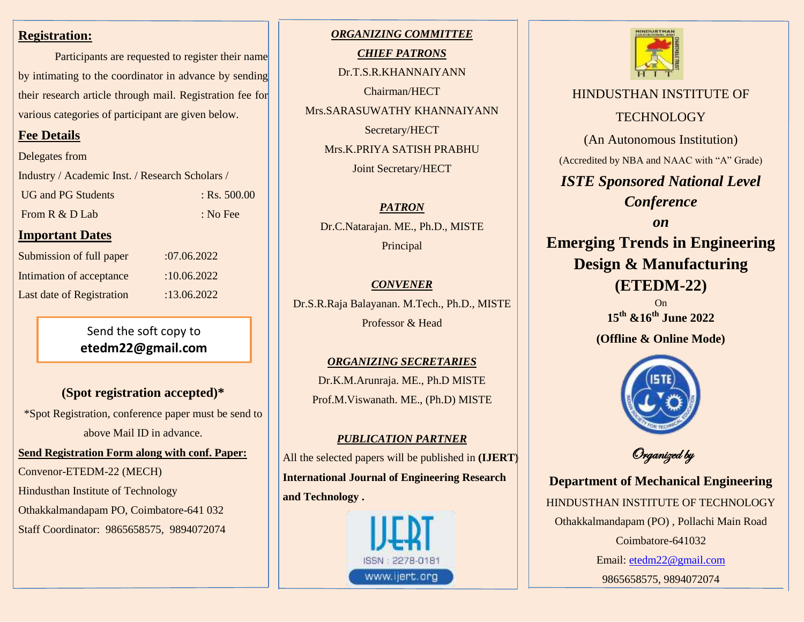#### **Registration:**

Participants are requested to register their name by intimating to the coordinator in advance by sending their research article through mail. Registration fee for various categories of participant are given below.

### **Fee Details**

Delegates from

Industry / Academic Inst. / Research Scholars /

UG and PG Students : Rs. 500.00 From R & D Lab : No Fee

### **Important Dates**

| Submission of full paper  | :07.06.2022 |
|---------------------------|-------------|
| Intimation of acceptance  | :10.06.2022 |
| Last date of Registration | :13.06.2022 |

Send the soft copy to **etedm22@gmail.com**

## **(Spot registration accepted)\***

\*Spot Registration, conference paper must be send to above Mail ID in advance.

**Send Registration Form along with conf. Paper:** 

Convenor-ETEDM-22 (MECH)

Hindusthan Institute of Technology

Othakkalmandapam PO, Coimbatore-641 032

Staff Coordinator: 9865658575, 9894072074

*ORGANIZING COMMITTEE CHIEF PATRONS* Dr.T.S.R.KHANNAIYANN Chairman/HECT Mrs.SARASUWATHY KHANNAIYANN Secretary/HECT Mrs.K.PRIYA SATISH PRABHU Joint Secretary/HECT

*PATRON* Dr.C.Natarajan. ME., Ph.D., MISTE Principal

# *CONVENER* Dr.S.R.Raja Balayanan. M.Tech., Ph.D., MISTE

Professor & Head

## *ORGANIZING SECRETARIES* Dr.K.M.Arunraja. ME., Ph.D MISTE Prof.M.Viswanath. ME., (Ph.D) MISTE

### *PUBLICATION PARTNER*

All the selected papers will be published in **(IJERT) International Journal of Engineering Research and Technology .** 





HINDUSTHAN INSTITUTE OF **TECHNOLOGY** (An Autonomous Institution) (Accredited by NBA and NAAC with "A" Grade) *ISTE Sponsored National Level Conference on* **Emerging Trends in Engineering Design & Manufacturing (ETEDM-22)**

On **15th &16th June 2022**

**(Offline & Online Mode)**



Organized by

**Department of Mechanical Engineering** HINDUSTHAN INSTITUTE OF TECHNOLOGY Othakkalmandapam (PO) , Pollachi Main Road Coimbatore-641032 Email: [etedm22@gmail.com](mailto:etedm22@gmail.com) 9865658575, 9894072074